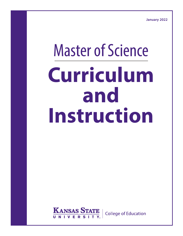**January 2022**

# Master of Science **Curriculum and Instruction**

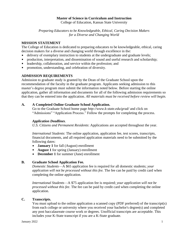## **Master of Science in Curriculum and Instruction**

College of Education, Kansas State University

*Preparing Educators to be Knowledgeable, Ethical, Caring Decision Makers for a Diverse and Changing World*

## **MISSION STATEMENT**

The College of Education is dedicated to preparing educators to be knowledgeable, ethical, caring decision makers for a diverse and changing world through excellence in the:

- delivery of exemplary instruction to students at the undergraduate and graduate levels;  $\blacksquare$
- production, interpretation, and dissemination of sound and useful research and scholarship;  $\blacksquare$
- $\blacksquare$ leadership, collaboration, and service within the profession; and
- promotion, understanding, and celebration of diversity.

# **ADMISSION REQUIREMENTS**

Admission to graduate study is granted by the Dean of the Graduate School upon the recommendation of the faculty in the graduate program. Applicants seeking admission to this master's degree program must submit the information noted below. Before starting the online application, gather all information and documents for all of the following admission requirements so that they can be entered into the application. *All materials must be received before review will begin.*

## **A. A Completed Online Graduate School Application.**

Go to the Graduate School home page *http://www.k-state.edu/grad/* and click on "Admissions" "Application Process." Follow the prompts for completing the process.

## *Application Deadlines*.

*U.S. Citizens and Permanent Residents*: Applications are accepted throughout the year.

*International Students*: The online application, application fee, test scores, transcripts, financial documents, and all required application materials need to be submitted by the following dates:

- **January 1** for fall (August) enrollment  $\mathbf{r}$
- **August 1** for spring (January) enrollment
- **December 1** for summer (June) enrollment

# **B. Graduate School Application Fee.**

*Domestic Students*—A \$65 application fee is required for all domestic students; *your application will not be processed without this fee.* The fee can be paid by credit card when completing the online application.

*International Students*—A \$75 application fee is required; *your application will not be processed without this fee*. The fee can be paid by credit card when completing the online application.

## **C. Transcripts.**

You must upload to the online application a scanned copy (PDF preferred) of the transcript(s) from each college or university where you received your bachelor's degree(s) and completed any post baccalaureate course work or degrees. Unofficial transcripts are acceptable. This includes your K-State transcript if you are a K-State graduate.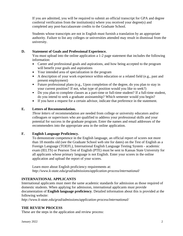If you are admitted, you will be required to submit an official transcript for GPA and degree conferral verification from the institution(s) where you received your degree(s) and completed any post-baccalaureate credits to the Graduate School.

Students whose transcripts are not in English must furnish a translation by an appropriate authority. Failure to list any colleges or universities attended may result in dismissal from the university.

# **D. Statement of Goals and Professional Experience.**

You must upload into the online application a 1-2 page statement that includes the following information:

- Career and professional goals and aspirations, and how being accepted to the program will benefit your goals and aspirations
- Your intended area of specialization in the program
- A description of your work experience within education or a related field (e.g., past and present employment)
- Future professional plans (e.g., Upon completion of the degree, do you plan to stay in your current position? If not, what type of position would you like to seek?)
- Do you plan to complete classes as a part-time or full-time student? If a full-time student, do you intend to seek a graduate assistantship? Which semester would you begin?
- If you have a request for a certain advisor, indicate that preference in the statement.

# **E. Letters of Recommendation.**

*Three letters* of recommendation are needed from college or university educators and/or colleagues or supervisors who are qualified to address your professional skills and your potential for success in the graduate program. Enter the names and email addresses of the recommenders into the appropriate area in the online application.

# **F. English Language Proficiency.**

To demonstrate competence in the English language, an official report of scores not more than 18 months old (see the Graduate School web site for dates) on the Test of English as a Foreign Language (TOEFL), International English Language Testing System - academic exam (IELTS) or Pearson Test of English (PTE) must be sent to Kansas State University for all applicants whose primary language is not English. Enter your scores in the online application and upload the report of your scores.

Learn more about [English proficiency requirements](http://www.k-state.edu/grad/admissions/application-process/international/index.html#English-Proficiency-Requirements) at: *http://www.k-state.edu/grad/admissions/application-process/international/*

# **INTERNATIONAL APPLICANTS**

International applicants must meet the same academic standards for admission as those required of domestic students. When applying for admission, international applicants must provide documentation of **English language proficiency**. Detailed information about this is provided at the following website:

*http://www.k-state.edu/grad/admissions/application-process/international/*

# **THE REVIEW PROCESS**

These are the steps in the application and review process: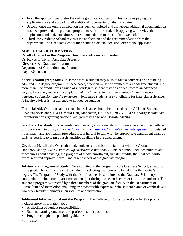- First, the applicant completes the online graduate application. This includes paying the application fee and uploading all additional documentation that is required.
- Second, once the online application has been completed and all needed additional documentation has been provided, the graduate program to which the student is applying will review the application and make an admission recommendation to the Graduate School.
- $\mathbf{u}$  . Third, the Graduate School reviews the application and the recommendation from the department. The Graduate School then sends an official decision letter to the applicant.

## **ADDITIONAL INFORMATION**

**Faculty Contact in the Program. For more information, contact:** Dr. Kay Ann Taylor, Associate Professor Director, C&I Graduate Programs Department of Curriculum and Instruction ktaylor@ksu.edu

**Special (Nondegree) Status.** In some cases, a student may wish to take a course(s) prior to being admitted in a degree program. In these cases, a person must be admitted as a nondegree student. No more than nine credit hours earned as a nondegree student may be applied toward an advanced degree. However, *successful completion of any hours taken as a nondegree student does not guarantee admission into the program.* Nondegree students are *not* eligible for financial assistance. A faculty advisor is *not* assigned to nondegree students.

**Financial Aid.** Questions about financial assistance should be directed to the Office of Student Financial Assistance, 104 Fairchild Hall, Manhattan, KS 66506, 785-532-6420, *[finaid@k-state.edu.](mailto:ksusfa@ksu.edu)* For information regarding financial aid, you may go to *www.k-state.edu/sfa.*

**Graduate Assistantships.** A limited number of graduate assistantships are available in the College of Education. Go to *<https://coe.k-state.edu/student-success/graduate/assistantships.html>* for detailed information and application procedures. It is helpful to talk with the appropriate department chair as early as possible to learn of assistantships available in the department.

**Graduate Handbook**. Once admitted, students should become familiar with the Graduate Handbook at *http:www.k-state.edu/grad/graduate-handbook/*. This handbook includes policies and procedures about advising, the program of study, enrollment, transfer credits, the final oral/written exam, required approval forms, and other aspects of the graduate program.

**Advisor and Program of Study.** Once admitted to the program by the Graduate School, an advisor is assigned. The advisor assists the student in selecting the courses to be taken in the master's degree. The Program of Study with the list of courses is submitted to the Graduate School upon completion of nine hours (part-time students) or during the second semester (full-time students). The student's program is directed by a three members of the graduate faculty in the Department of Curriculum and Instruction, including an advisor with expertise in the student's area of emphasis and two other faculty members in curriculum and instruction.

**Additional Information about the Program.** The College of Education website for this program includes more information about:

- A checklist of student responsibilities
- Student learning outcomes and professional dispositions
- Program completion portfolio guidelines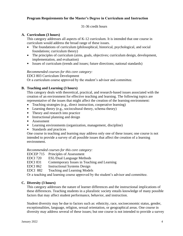# **Program Requirements for the Master's Degree in Curriculum and Instruction**

## 31-36 credit hours

## **A. Curriculum (3 hours)**

This category addresses all aspects of K-12 curriculum. It is intended that one course in curriculum would address the broad range of these issues.

- The foundations of curriculum (philosophical, historical, psychological, and social foundations; curriculum theory)
- The principles of curriculum (aims, goals, objectives; curriculum design, development, implementation, and evaluation)
- Issues of curriculum (trends and issues; future directions; national standards)

#### *Recommended courses for this core category:*

EDCI 803 Curriculum Development

Or a curriculum course approved by the student's advisor and committee.

## **B. Teaching and Learning (3 hours)**

This category deals with theoretical, practical, and research-based issues associated with the creation of an environment for effective teaching and learning. The following topics are representative of the issues that might affect the creation of the learning environment:

- Teaching strategies (e.g., direct instruction, cooperative learning)
- **Learning theory (e.g., sociocultural theory, schema theory)**
- Theory and research into practice
- **Instructional planning and design**
- **Assessment**
- **EXECUTE:** Learning environments (organization, management, discipline)
- **Standards and practices**

One course in teaching and learning may address only one of these issues; one course is not intended to provide a survey of all possible issues that affect the creation of a learning environment.

#### *Recommended courses for this core category:*

EDCEP 715 Principles of Assessment

- EDCI 720 ESL/Dual Language Methods
- EDCI 831 Contemporary Issues in Teaching and Learning

EDCI 862 Instructional Systems Design

EDCI 882 Teaching and Learning Models

Or a teaching and learning course approved by the student's advisor and committee.

## **C. Diversity (3 hours)**

This category addresses the nature of learner differences and the instructional implications of these differences. Teaching students in a pluralistic society entails knowledge of many possible factors that may affect student performance, behavior, and instruction.

Student diversity may be due to factors such as: ethnicity, race, socioeconomic status, gender, exceptionalities, language, religion, sexual orientation, or geographical areas. One course in diversity may address several of these issues; but one course is not intended to provide a survey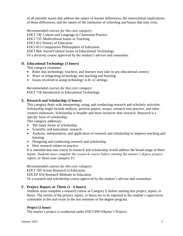of all possible issues that address the nature of learner differences, the instructional implications of these differences, and the nature of the institution of schooling and biases that may exist.

*Recommended courses for this core category:* EDCI 740 Culture and Language in Classroom Practice EDCI 755 Multicultural Issues in Teaching EDCI 812 History of Education EDCI 813 Comparative Philosophies of Education EDCI 864 Social/Cultural Issues in Educational Technology Or a diversity course approved by the student's advisor and committee.

## **D. Educational Technology (3 hours)**

This category examines:

- Roles that technology, teachers, and learners may take in any educational context
- Ways of integrating technology into teaching and learning
- **Issues involved in using technology in K-12 settings**

*Recommended courses for this core category*:

EDCI 718 Introduction to Educational Technology

## **E. Research and Scholarship (3 hours)**

This category deals with interpreting, using, and conducting research and scholarly activities. Scholarship might include analysis, position papers, essays, research into practice, and other creative endeavors. Scholarship is broader and more inclusive than research. Research is a specific form of scholarship.

This category addresses:

- The many forms of scholarship
- Scientific and naturalistic research
- Analysis, interpretation, and application of research and scholarship to improve teaching and learning
- **•** Designing and conducting research and scholarship
- How research relates to practice

It is intended that one course in research and scholarship would address the broad range of these issues. *Students must complete the research course before starting the master's degree project, report, or thesis (see category F).*

*Recommended courses for this core category:*

EDCI 760 Action Research in Education

EDCEP 816 Research Methods in Education

Or a research and scholarship course approved by the student's advisor and committee.

# **F. Project, Report, or Thesis (1 - 6 hours)**

Students must complete a research course in Category E before starting this project, report, or thesis. The results of the project, report, or thesis are to be reported to the student's supervisory committee in the oral exam in the last semester of the degree program.

## *Project* **(1 hour)**

The master's project is conducted under EDCI 890 (Master's Project).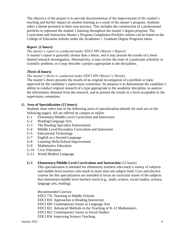The objective of the project is to provide documentation of the improvement of the student's teaching and his/her impact on student learning as a result of the master's program. Students select a theme pertinent to their own practice. This includes the construction of a professional portfolio to represent the student's learning throughout the master's degree program. The Curriculum and Instruction Master's Program Completion Portfolio outline can be found on the College of Education website under the Academics > Graduate Degree Programs menu.

## *Report* **(2 hours)**

*The master's report is conducted under EDCI 898 (Master's Report).*

A master's report is generally shorter than a thesis, and it may present the results of a more limited research investigation. Alternatively, it may review the state of a particular scholarly or scientific problem, or it may describe a project appropriate to the disciplines.

## *Thesis* **(6 hours)**

## *The master's thesis is conducted under EDCI 899 (Master's Thesis).*

The master's thesis presents the results of an original investigation of a problem or topic approved by the candidate's supervisory committee. Its purpose is to demonstrate the candidate's ability to conduct original research of a type appropriate to the academic discipline, to analyze the information obtained from the research, and to present the results in a form acceptable to the supervisory committee.

## **G. Area of Specialization (15 hours)**

Students must select one of the following areas of specialization (details for each are on the following pages). All are offered on campus or online.

- G-1 Elementary/Middle Level Curriculum and Instruction
- G-2 Reading/Language Arts
- G-3 The Reading Specialist Endorsement
- G-4 Middle Level/Secondary Curriculum and Instruction
- G-5 Educational Technology
- G-7 English as a Second Language
- G-8 Learning Skills/School Improvement
- G-9 Mathematics Education
- G-10 Civic Education
- G-11 World Modern Language

## **G-1 Elementary/Middle Level Curriculum and Instruction** (15 hours)

This specialization is intended for elementary teachers who teach a variety of subjects and middle-level teachers who teach in more than one subject field. Core and elective courses for this specialization are intended to focus on curricular issues of the subjects that elementary/middle level teachers teach (e.g., math, science, social studies, science, language arts, reading).

*Recommended Courses:*

EDCI 776 Teaching in Middle Schools

- EDCI 816 Approaches to Reading Instruction
- EDCI 820 Contemporary Issues in Language Arts
- EDCI 821 Advanced Methods in the Teaching of K-12 Mathematics
- EDCI 822 Contemporary Issues in Social Studies
- EDCI 834 Improving Science Teaching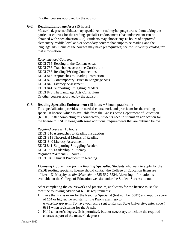Or other courses approved by the advisor.

## **G-2 Reading/Language Arts** (15 hours)

Master's degree candidates may specialize in reading/language arts without taking the particular courses for the reading specialist endorsement (that endorsement can be obtained with specialization G-3). Students may choose any 15 hours of approved elementary/middle level and/or secondary courses that emphasize reading and the language arts. Some of the courses may have prerequisites; see the university catalog for that information.

## *Recommended Courses:*

EDCI 715 Reading in the Content Areas EDCI 756 Tradebooks across the Curriculum EDCI 758 Reading/Writing Connections EDCI 816 Approaches to Reading Instruction EDCI 820 Contemporary Issues in Language Arts EDCI 840 Literacy Assessment EDCI 841 Supporting Struggling Readers EDCI 878 The Language Arts Curriculum Or other courses approved by the advisor.

## **G-3 Reading Specialist Endorsement** (15 hours + 3 hours practicum)

This specialization provides the needed coursework and practicum for the reading specialist license, which is available from the Kansas State Department of Education (KSDE). After completing this coursework, students need to submit an application for the license to KSDE along with some additional requirements that are outlined below.

*Required courses* (15 hours): EDCI 816 Approaches to Reading Instruction EDCI 818 Theoretical Models of Reading EDCI 840 Literacy Assessment EDCI 841 Supporting Struggling Readers EDCI 930 Leadership in Literacy *Required Practicum* (3 hours): EDCI 945Clinical Practicum in Reading

*Licensing Information for the Reading Specialist.* Students who want to apply for the KSDE reading specialist license should contact the College of Education licensure officer—Di Murphy at: *dim@ksu.edu* or 785-532-5524. Licensing information is available on the College of Education website under the Student Success menu.

After completing the coursework and practicum, applicants for the license must also meet the following additional KSDE requirements:

- 1. Take the Praxis exam for the Reading Specialist (test number **5301**) and report a score of **164** or higher. To register for the Praxis exam, go to: *www.ets.org/praxis.* To have your score sent to Kansas State University, enter code **# 6334** when registering for the Praxis.
- 2. Hold a master's degree. (It is permitted, but not necessary, to include the required courses as part of the master's degree.)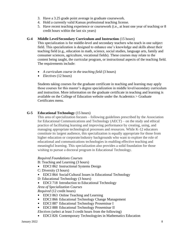- 3. Have a 3.25 grade point average in graduate coursework.
- 4. Hold a currently valid Kansas professional teaching license.
- 5. Have recent teaching experience or coursework (i.e., at least one year of teaching or 8 credit hours within the last six years)

#### **G-4 Middle Level/Secondary Curriculum and Instruction** (15 hours)

This specialization is for middle-level and secondary teachers who teach in one subject field. This specialization is designed to enhance one's knowledge and skills about their teaching field (e.g., education in math, science, social studies, language arts, family and consumer sciences, agriculture, vocational fields). These courses may relate to the content being taught, the curricular program, or instructional aspects of the teaching field. The requirements include:

- *A curriculum course in the teaching field* (3 hours)
- *Electives* (12 hours)  $\blacksquare$

Students taking courses for the graduate certificate in teaching and learning may apply those courses for this master's degree specialization in middle level/secondary curriculum and instruction. More information on the graduate certificate in teaching and learning is available on the College of Education website under the Academics > Graduate Certificates menu.

## **G-5 Educational Technology** (15 hours)

This area of specialization focuses – following guidelines prescribed by the Association for Educational Communications and Technology (AECT) – on the study and ethical practice of facilitating learning and improving performance by creating, using, and managing appropriate technological processes and resources. While K-12 educators constitute its largest audience, this specialization is equally appropriate for those from higher education or corporate/industry backgrounds who want to explore the role of educational and communications technologies in enabling effective teaching and meaningful learning. This specialization also provides a solid foundation for those wishing to pursue a doctoral program in Educational Technology.

#### *Required Foundations Courses*

B: Teaching and Learning (3 hours)

- **EDCI 862 [Instructional Systems Design](http://catalog.k-state.edu/preview_program.php?catoid=2&poid=482&returnto=124)**
- C: Diversity (3 hours)
- EDCI 864 [Social/Cultural Issues in Educational Technology](http://catalog.k-state.edu/preview_program.php?catoid=2&poid=482&returnto=124)
- D: Educational Technology (3 hours)
- EDCI 718 [Introduction to Educational Technology](http://catalog.k-state.edu/preview_program.php?catoid=2&poid=482&returnto=124)  $\blacksquare$

*Area of Specialization Courses*

*Required* (12 credit hours)

- $\blacksquare$ EDCI 863 [Online Teaching and Learning](http://catalog.k-state.edu/preview_program.php?catoid=2&poid=482&returnto=124)
- $\mathbf{u}^{\prime}$  . EDCI 866 [Educational Technology Change Management](http://catalog.k-state.edu/preview_program.php?catoid=2&poid=482&returnto=124)
- **EDCI 887 Educational [Technology Proseminar I](http://catalog.k-state.edu/preview_program.php?catoid=2&poid=482&returnto=124)**
- **EDCI 888 [Educational Technology Proseminar II](http://catalog.k-state.edu/preview_program.php?catoid=2&poid=482&returnto=124)**

*Electives* (select at least 3 credit hours from the following)

 $\blacksquare$ EDCI 826 Contemporary Technologyies in Mathematics Education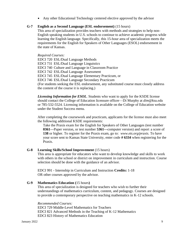Any other Educational Technology centered elective approved by the advisor

## **G-7 English as a Second Language (ESL endorsement)** (15 hours)

This area of specialization provides teachers with methods and strategies to help non-English speaking students in U.S. schools to continue to achieve academic progress while learning the English language. Specifically, this 15-hour area of specialization meets the requirements for the English for Speakers of Other Languages (ESOL) endorsement in the state of Kansas.

*Required Courses:*

EDCI 720 ESL/Dual Language Methods EDCI 731 ESL/Dual Language Linguistics EDCI 740 Culture and Language in Classroom Practice EDCI 742 ESL/Dual Language Assessment EDCI 745 ESL/Dual Language Elementary Practicum, or EDCI 746 ESL/Dual Language Secondary Practicum (For students seeking the ESL endorsement, any substituted course must closely address the content of the course it is replacing.)

*Licensing Information for ESOL.* Students who want to apply for the KSDE license should contact the College of Education licensure officer—Di Murphy at *[dim@ksu.edu](mailto:dim@ksu.edu)* or 785-532-5524. Licensing information is available on the College of Education website under the Student Success menu*.*

After completing the coursework and practicum, applicants for the license must also meet the following additional KSDE requirements:

Take the Praxis exam for the English for Speakers of Other Languages (test number **0361—**Paper version, or test number **5361—**computer version) and report a score of **138** or higher. To register for the Praxis exam, go to: *www.ets.org/praxis.* To have your score sent to Kansas State University, enter code **# 6334** when registering for the Praxis.

## **G-8 Learning Skills/School Improvement** (15 hours)

This area is appropriate for educators who want to develop knowledge and skills to work with others in the school or district on improvement in curriculum and instruction. Course selection should be done with the guidance of an advisor.

EDCI 991 - Internship in [Curriculum](https://catalog.k-state.edu/preview_program.php?catoid=45&poid=15034&returnto=8158) and Instruction **Credits:** 1-18 OR other courses approved by the advisor.

## **G-9 Mathematics Education (**15 hours**)**

This area of specialization is designed for teachers who wish to further their understandings of mathematics curriculum, content, and pedagogy. Courses are designed to provide a contemporary perspective on teaching mathematics in K-12 schools.

## *Recommended Courses:*

EDCI 729 Middle-Level Mathematics for Teachers EDCI 821 Advanced Methods in the Teaching of K-12 Mathematics EDCI 823 History of Mathematics Education